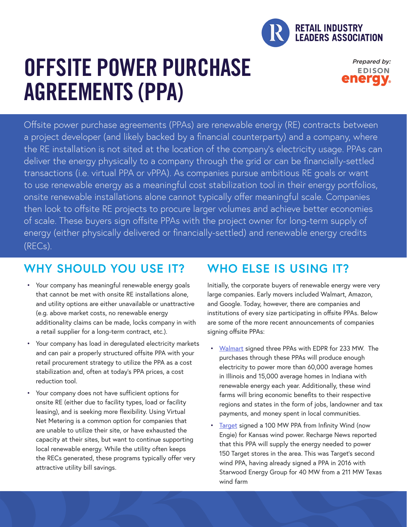

# OFFSITE POWER PURCHASE AGREEMENTS (PPA)

Prepared by: **EDISON** enerav.

Offsite power purchase agreements (PPAs) are renewable energy (RE) contracts between a project developer (and likely backed by a financial counterparty) and a company, where the RE installation is not sited at the location of the company's electricity usage. PPAs can deliver the energy physically to a company through the grid or can be financially-settled transactions (i.e. virtual PPA or vPPA). As companies pursue ambitious RE goals or want to use renewable energy as a meaningful cost stabilization tool in their energy portfolios, onsite renewable installations alone cannot typically offer meaningful scale. Companies then look to offsite RE projects to procure larger volumes and achieve better economies of scale. These buyers sign offsite PPAs with the project owner for long-term supply of energy (either physically delivered or financially-settled) and renewable energy credits (RECs).

## **WHY SHOULD YOU USE IT?**

- Your company has meaningful renewable energy goals that cannot be met with onsite RE installations alone, and utility options are either unavailable or unattractive (e.g. above market costs, no renewable energy additionality claims can be made, locks company in with a retail supplier for a long-term contract, etc.).
- Your company has load in deregulated electricity markets and can pair a properly structured offsite PPA with your retail procurement strategy to utilize the PPA as a cost stabilization and, often at today's PPA prices, a cost reduction tool.
- Your company does not have sufficient options for onsite RE (either due to facility types, load or facility leasing), and is seeking more flexibility. Using Virtual Net Metering is a common option for companies that are unable to utilize their site, or have exhausted the capacity at their sites, but want to continue supporting local renewable energy. While the utility often keeps the RECs generated, these programs typically offer very attractive utility bill savings.

# **WHO ELSE IS USING IT?**

Initially, the corporate buyers of renewable energy were very large companies. Early movers included Walmart, Amazon, and Google. Today, however, there are companies and institutions of every size participating in offsite PPAs. Below are some of the more recent announcements of companies signing offsite PPAs:

- [Walmart](https://news.walmart.com/2018/10/16/walmart-edp-renewables-announce-three-wind-energy-power-purchase-agreements) signed three PPAs with EDPR for 233 MW. The purchases through these PPAs will produce enough electricity to power more than 60,000 average homes in Illinois and 15,000 average homes in Indiana with renewable energy each year. Additionally, these wind farms will bring economic benefits to their respective regions and states in the form of jobs, landowner and tax payments, and money spent in local communities.
- [Target](https://www.smartenergydecisions.com/renewable-energy/2017/08/09/target-signs-ppa-with-kansas-wind-farm) signed a 100 MW PPA from Infinity Wind (now Engie) for Kansas wind power. Recharge News reported that this PPA will supply the energy needed to power 150 Target stores in the area. This was Target's second wind PPA, having already signed a PPA in 2016 with Starwood Energy Group for 40 MW from a 211 MW Texas wind farm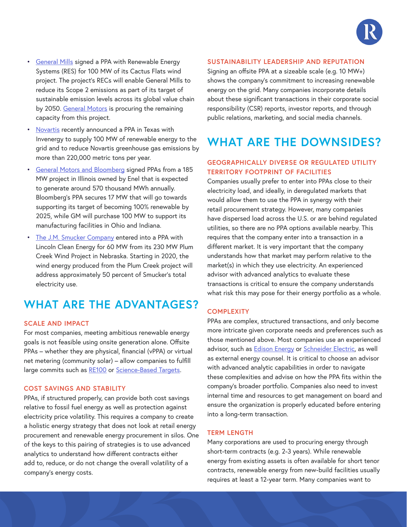

- **[General Mills](https://www.generalmills.com/en/News/NewsReleases/Library/2017/June/windpower6-8) signed a PPA with Renewable Energy** Systems (RES) for 100 MW of its Cactus Flats wind project. The project's RECs will enable General Mills to reduce its Scope 2 emissions as part of its target of sustainable emission levels across its global value chain by 2050. [General Motors](https://www.southerncompany.com/newsroom/2018/aug-2018/cactus-flats-wind-facility-operational.html) is procuring the remaining capacity from this project.
- [Novartis](https://www.pharma.us.novartis.com/news/media-releases/novartis-announces-us-renewables-agreement-reduce-greenhouse-gas-emissions) recently announced a PPA in Texas with Invenergy to supply 100 MW of renewable energy to the grid and to reduce Novartis greenhouse gas emissions by more than 220,000 metric tons per year.
- [General Motors and Bloomberg](https://www.smartenergydecisions.com/renewable-energy/2018/04/10/bloomberg-joins-gm-at-hilltopper-wind-farm) signed PPAs from a 185 MW project in Illinois owned by Enel that is expected to generate around 570 thousand MWh annually. Bloomberg's PPA secures 17 MW that will go towards supporting its target of becoming 100% renewable by 2025, while GM will purchase 100 MW to support its manufacturing facilities in Ohio and Indiana.
- [The J.M. Smucker Company](http://www.jmsmucker.com/investor-relations/smuckers-financial-news-releases/article/2361295) entered into a PPA with Lincoln Clean Energy for 60 MW from its 230 MW Plum Creek Wind Project in Nebraska. Starting in 2020, the wind energy produced from the Plum Creek project will address approximately 50 percent of Smucker's total electricity use.

### **WHAT ARE THE ADVANTAGES?**

### **SCALE AND IMPACT**

For most companies, meeting ambitious renewable energy goals is not feasible using onsite generation alone. Offsite PPAs – whether they are physical, financial (vPPA) or virtual net metering (community solar) – allow companies to fulfill large commits such as [RE100](http://there100.org/) or [Science-Based Targets.](https://sciencebasedtargets.org/)

#### **COST SAVINGS AND STABILITY**

PPAs, if structured properly, can provide both cost savings relative to fossil fuel energy as well as protection against electricity price volatility. This requires a company to create a holistic energy strategy that does not look at retail energy procurement and renewable energy procurement in silos. One of the keys to this pairing of strategies is to use advanced analytics to understand how different contracts either add to, reduce, or do not change the overall volatility of a company's energy costs.

#### **SUSTAINABILITY LEADERSHIP AND REPUTATION**

Signing an offsite PPA at a sizeable scale (e.g. 10 MW+) shows the company's commitment to increasing renewable energy on the grid. Many companies incorporate details about these significant transactions in their corporate social responsibility (CSR) reports, investor reports, and through public relations, marketing, and social media channels.

### **WHAT ARE THE DOWNSIDES?**

### **GEOGRAPHICALLY DIVERSE OR REGULATED UTILITY TERRITORY FOOTPRINT OF FACILITIES**

Companies usually prefer to enter into PPAs close to their electricity load, and ideally, in deregulated markets that would allow them to use the PPA in synergy with their retail procurement strategy. However, many companies have dispersed load across the U.S. or are behind regulated utilities, so there are no PPA options available nearby. This requires that the company enter into a transaction in a different market. It is very important that the company understands how that market may perform relative to the market(s) in which they use electricity. An experienced advisor with advanced analytics to evaluate these transactions is critical to ensure the company understands what risk this may pose for their energy portfolio as a whole.

### **COMPLEXITY**

PPAs are complex, structured transactions, and only become more intricate given corporate needs and preferences such as those mentioned above. Most companies use an experienced advisor, such as [Edison Energy](http://www.edisonenergy.com/) or [Schneider Electric,](https://www.schneider-electric.us/en/) as well as external energy counsel. It is critical to choose an advisor with advanced analytic capabilities in order to navigate these complexities and advise on how the PPA fits within the company's broader portfolio. Companies also need to invest internal time and resources to get management on board and ensure the organization is properly educated before entering into a long-term transaction.

#### **TERM LENGTH**

Many corporations are used to procuring energy through short-term contracts (e.g. 2-3 years). While renewable energy from existing assets is often available for short tenor contracts, renewable energy from new-build facilities usually requires at least a 12-year term. Many companies want to